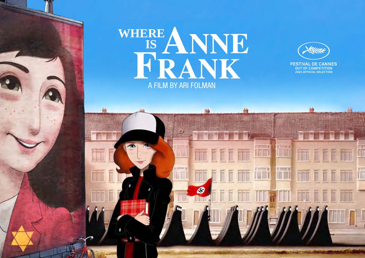# A FILM BY ARI FOLMAN **WHERE IS**



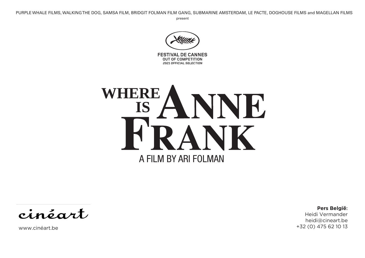PURPLE WHALE FILMS, WALKING THE DOG, SAMSA FILM, BRIDGIT FOLMAN FILM GANG, SUBMARINE AMSTERDAM, LE PACTE, DOGHOUSE FILMS and MAGELLAN FILMS

present



**FESTIVAL DE CANNES** OUT OF COMPETITION 2021 OFFICIAL SELECTION





**Pers België:** Heidi Vermander heidi@cineart.be +32 (0) 475 62 10 13

www.cinéart.be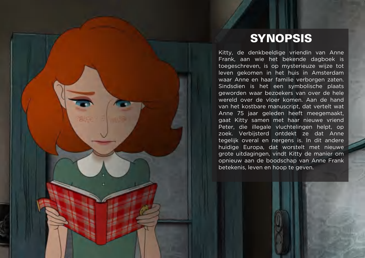# **SYNOPSIS**

Kitty, de denkbeeldige vriendin van Anne Frank, aan wie het bekende dagboek is toegeschreven, is op mysterieuze wijze tot leven gekomen in het huis in Amsterdam waar Anne en haar familie verborgen zaten. Sindsdien is het een symbolische plaats geworden waar bezoekers van over de hele wereld over de vloer komen. Aan de hand van het kostbare manuscript, dat vertelt wat Anne 75 jaar geleden heeft meegemaakt, gaat Kitty samen met haar nieuwe vriend Peter, die illegale vluchtelingen helpt, op zoek. Verbijsterd ontdekt ze dat Anne tegelijk overal en nergens is. In dit andere huidige Europa, dat worstelt met nieuwe grote uitdagingen, vindt Kitty de manier om opnieuw aan de boodschap van Anne Frank betekenis, leven en hoop te geven.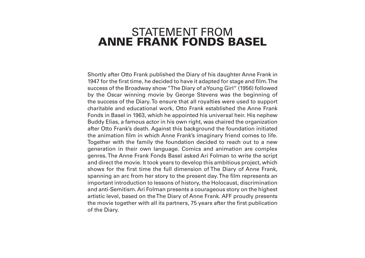# STATEMENT FROM ANNE FRANK FONDS BASEL

Shortly after Otto Frank published the Diary of his daughter Anne Frank in 1947 for the first time, he decided to have it adapted for stage and film. The success of the Broadway show "The Diary of a Young Girl" (1956) followed by the Oscar winning movie by George Stevens was the beginning of the success of the Diary. To ensure that all royalties were used to support charitable and educational work, Otto Frank established the Anne Frank Fonds in Basel in 1963, which he appointed his universal heir. His nephew Buddy Elias, a famous actor in his own right, was chaired the organization after Otto Frank's death. Against this background the foundation initiated the animation film in which Anne Frank's imaginary friend comes to life. Together with the family the foundation decided to reach out to a new generation in their own language. Comics and animation are complex genres. The Anne Frank Fonds Basel asked Ari Folman to write the script and direct the movie. It took years to develop this ambitious project, which shows for the first time the full dimension of The Diary of Anne Frank, spanning an arc from her story to the present day. The film represents an important introduction to lessons of history, the Holocaust, discrimination and anti-Semitism. Ari Folman presents a courageous story on the highest artistic level, based on the The Diary of Anne Frank. AFF proudly presents the movie together with all its partners, 75 years after the first publication of the Diary.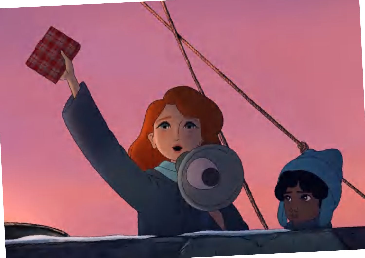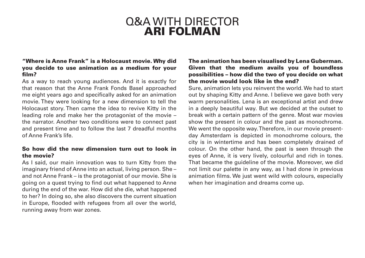# Q&A WITH DIRECTOR ARI FOLMAN

#### "Where is Anne Frank" is a Holocaust movie. Why did you decide to use animation as a medium for your film?

As a way to reach young audiences. And it is exactly for that reason that the Anne Frank Fonds Basel approached me eight years ago and specifically asked for an animation movie. They were looking for a new dimension to tell the Holocaust story. Then came the idea to revive Kitty in the leading role and make her the protagonist of the movie – the narrator. Another two conditions were to connect past and present time and to follow the last 7 dreadful months of Anne Frank's life.

#### So how did the new dimension turn out to look in the movie?

As I said, our main innovation was to turn Kitty from the imaginary friend of Anne into an actual, living person. She – and not Anne Frank – is the protagonist of our movie. She is going on a quest trying to find out what happened to Anne during the end of the war. How did she die, what happened to her? In doing so, she also discovers the current situation in Europe, flooded with refugees from all over the world, running away from war zones.

# The animation has been visualised by Lena Guberman. Given that the medium avails you of boundless possibilities – how did the two of you decide on what the movie would look like in the end?

Sure, animation lets you reinvent the world. We had to start out by shaping Kitty and Anne. I believe we gave both very warm personalities. Lena is an exceptional artist and drew in a deeply beautiful way. But we decided at the outset to break with a certain pattern of the genre. Most war movies show the present in colour and the past as monochrome. We went the opposite way. Therefore, in our movie presentday Amsterdam is depicted in monochrome colours, the city is in wintertime and has been completely drained of colour. On the other hand, the past is seen through the eyes of Anne, it is very lively, colourful and rich in tones. That became the guideline of the movie. Moreover, we did not limit our palette in any way, as I had done in previous animation films. We just went wild with colours, especially when her imagination and dreams come up.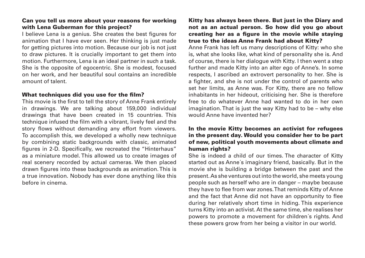### Can you tell us more about your reasons for working with Lena Guberman for this project?

I believe Lena is a genius. She creates the best figures for animation that I have ever seen. Her thinking is just made for getting pictures into motion. Because our job is not just to draw pictures. It is crucially important to get them into motion. Furthermore, Lena is an ideal partner in such a task. She is the opposite of egocentric. She is modest, focused on her work, and her beautiful soul contains an incredible amount of talent.

#### What techniques did you use for the film?

This movie is the first to tell the story of Anne Frank entirely in drawings. We are talking about 159,000 individual drawings that have been created in 15 countries. This technique infused the film with a vibrant, lively feel and the story flows without demanding any effort from viewers. To accomplish this, we developed a wholly new technique by combining static backgrounds with classic, animated figures in 2-D. Specifically, we recreated the "Hinterhaus" as a miniature model. This allowed us to create images of real scenery recorded by actual cameras. We then placed drawn figures into these backgrounds as animation. This is a true innovation. Nobody has ever done anything like this before in cinema.

# Kitty has always been there. But just in the Diary and not as an actual person. So how did you go about creating her as a figure in the movie while staying true to the ideas Anne Frank had about Kitty?

Anne Frank has left us many descriptions of Kitty: who she is, what she looks like, what kind of personality she is. And of course, there is her dialogue with Kitty. I then went a step further and made Kitty into an alter ego of Anne's. In some respects, I ascribed an extrovert personality to her. She is a fighter, and she is not under the control of parents who set her limits, as Anne was. For Kitty, there are no fellow inhabitants in her hideout, criticising her. She is therefore free to do whatever Anne had wanted to do in her own imagination. That is just the way Kitty had to be – why else would Anne have invented her?

# In the movie Kitty becomes an activist for refugees in the present day. Would you consider her to be part of new, political youth movements about climate and human rights?

She is indeed a child of our times. The character of Kitty started out as Anne´s imaginary friend, basically. But in the movie she is building a bridge between the past and the present. As she ventures out into the world, she meets young people such as herself who are in danger – maybe because they have to flee from war zones. That reminds Kitty of Anne and the fact that Anne did not have an opportunity to flee during her relatively short time in hiding. This experience turns Kitty into an activist. At the same time, she realises her powers to promote a movement for children´s rights. And these powers grow from her being a visitor in our world.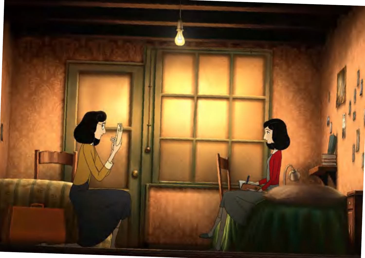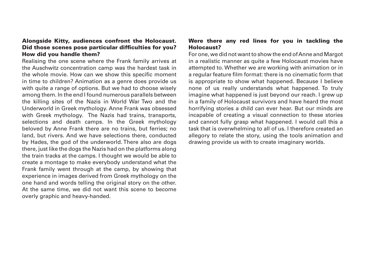# Alongside Kitty, audiences confront the Holocaust. Did those scenes pose particular difficulties for you? How did you handle them?

Realising the one scene where the Frank family arrives at the Auschwitz concentration camp was the hardest task in the whole movie. How can we show this specific moment in time to children? Animation as a genre does provide us with quite a range of options. But we had to choose wisely among them. In the end I found numerous parallels between the killing sites of the Nazis in World War Two and the Underworld in Greek mythology. Anne Frank was obsessed with Greek mythology. The Nazis had trains, transports, selections and death camps. In the Greek mythology beloved by Anne Frank there are no trains, but ferries; no land, but rivers. And we have selections there, conducted by Hades, the god of the underworld. There also are dogs there, just like the dogs the Nazis had on the platforms along the train tracks at the camps. I thought we would be able to create a montage to make everybody understand what the Frank family went through at the camp, by showing that experience in images derived from Greek mythology on the one hand and words telling the original story on the other. At the same time, we did not want this scene to become overly graphic and heavy-handed.

### Were there any red lines for you in tackling the Holocaust?

For one, we did not want to show the end of Anne and Margot in a realistic manner as quite a few Holocaust movies have attempted to. Whether we are working with animation or in a regular feature film format: there is no cinematic form that is appropriate to show what happened. Because I believe none of us really understands what happened. To truly imagine what happened is just beyond our reach. I grew up in a family of Holocaust survivors and have heard the most horrifying stories a child can ever hear. But our minds are incapable of creating a visual connection to these stories and cannot fully grasp what happened. I would call this a task that is overwhelming to all of us. I therefore created an allegory to relate the story, using the tools animation and drawing provide us with to create imaginary worlds.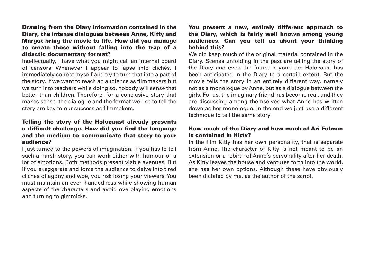Drawing from the Diary information contained in the Diary, the intense dialogues between Anne, Kitty and Margot bring the movie to life. How did you manage to create those without falling into the trap of a didactic documentary format?

Intellectually, I have what you might call an internal board of censors. Whenever I appear to lapse into clichés, I immediately correct myself and try to turn that into a part of the story. If we want to reach an audience as filmmakers but we turn into teachers while doing so, nobody will sense that better than children. Therefore, for a conclusive story that makes sense, the dialogue and the format we use to tell the story are key to our success as filmmakers.

## Telling the story of the Holocaust already presents a difficult challenge. How did you find the language and the medium to communicate that story to your audience?

I just turned to the powers of imagination. If you has to tell such a harsh story, you can work either with humour or a lot of emotions. Both methods present viable avenues. But if you exaggerate and force the audience to delve into tired clichés of agony and woe, you risk losing your viewers. You must maintain an even-handedness while showing human aspects of the characters and avoid overplaying emotions and turning to gimmicks.

# You present a new, entirely different approach to the Diary, which is fairly well known among young audiences. Can you tell us about your thinking behind this?

We did keep much of the original material contained in the Diary. Scenes unfolding in the past are telling the story of the Diary and even the future beyond the Holocaust has been anticipated in the Diary to a certain extent. But the movie tells the story in an entirely different way, namely not as a monologue by Anne, but as a dialogue between the girls. For us, the imaginary friend has become real, and they are discussing among themselves what Anne has written down as her monologue. In the end we just use a different technique to tell the same story.

# How much of the Diary and how much of Ari Folman is contained in Kitty?

In the film Kitty has her own personality, that is separate from Anne. The character of Kitty is not meant to be an extension or a rebirth of Anne´s personality after her death. As Kitty leaves the house and ventures forth into the world, she has her own options. Although these have obviously been dictated by me, as the author of the script.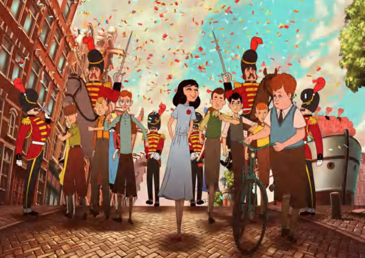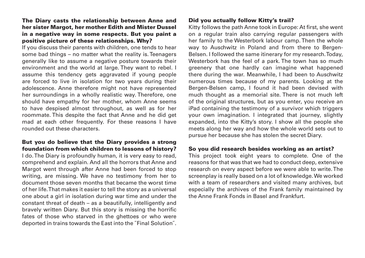# The Diary casts the relationship between Anne and her sister Margot, her mother Edith and Mister Dussel in a negative way in some respects. But you paint a positive picture of these relationships. Why?

If you discuss their parents with children, one tends to hear some bad things – no matter what the reality is. Teenagers generally like to assume a negative posture towards their environment and the world at large. They want to rebel. I assume this tendency gets aggravated if young people are forced to live in isolation for two years during their adolescence. Anne therefore might not have represented her surroundings in a wholly realistic way. Therefore, one should have empathy for her mother, whom Anne seems to have despised almost throughout, as well as for her roommate. This despite the fact that Anne and he did get mad at each other frequently. For these reasons I have rounded out these characters.

#### But you do believe that the Diary provides a strong foundation from which children to lessons of history?

I do. The Diary is profoundly human, it is very easy to read, comprehend and explain. And all the horrors that Anne and Margot went through after Anne had been forced to stop writing, are missing. We have no testimony from her to document those seven months that became the worst time of her life. That makes it easier to tell the story as a universal one about a girl in isolation during war time and under the constant threat of death – as a beautifully, intelligently and bravely written Diary. But this story is missing the horrific fates of those who starved in the ghettoes or who were deported in trains towards the East into the ˝Final Solution˝.

#### Did you actually follow Kitty's trail?

Kitty follows the path Anne took in Europe: At first, she went on a regular train also carrying regular passengers with her family to the Westerbork labour camp. Then the whole way to Auschwitz in Poland and from there to Bergen-Belsen. I followed the same itinerary for my research. Today, Westerbork has the feel of a park. The town has so much greenery that one hardly can imagine what happened there during the war. Meanwhile, I had been to Auschwitz numerous times because of my parents. Looking at the Bergen-Belsen camp, I found it had been devised with much thought as a memorial site. There is not much left of the original structures, but as you enter, you receive an iPad containing the testimony of a survivor which triggers your own imagination. I integrated that journey, slightly expanded, into the Kitty's story. I show all the people she meets along her way and how the whole world sets out to pursue her because she has stolen the secret Diary.

### So you did research besides working as an artist?

This project took eight years to complete. One of the reasons for that was that we had to conduct deep, extensive research on every aspect before we were able to write. The screenplay is really based on a lot of knowledge. We worked with a team of researchers and visited many archives, but especially the archives of the Frank family maintained by the Anne Frank Fonds in Basel and Frankfurt.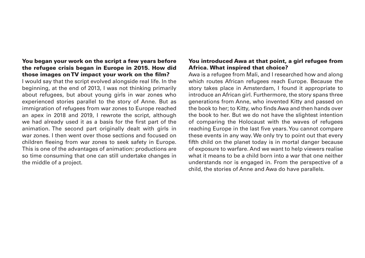# You began your work on the script a few years before the refugee crisis began in Europe in 2015. How did those images on TV impact your work on the film?

I would say that the script evolved alongside real life. In the beginning, at the end of 2013, I was not thinking primarily about refugees, but about young girls in war zones who experienced stories parallel to the story of Anne. But as immigration of refugees from war zones to Europe reached an apex in 2018 and 2019, I rewrote the script, although we had already used it as a basis for the first part of the animation. The second part originally dealt with girls in war zones. I then went over those sections and focused on children fleeing from war zones to seek safety in Europe. This is one of the advantages of animation: productions are so time consuming that one can still undertake changes in the middle of a project.

#### You introduced Awa at that point, a girl refugee from Africa. What inspired that choice?

Awa is a refugee from Mali, and I researched how and along which routes African refugees reach Europe. Because the story takes place in Amsterdam, I found it appropriate to introduce an African girl. Furthermore, the story spans three generations from Anne, who invented Kitty and passed on the book to her; to Kitty, who finds Awa and then hands over the book to her. But we do not have the slightest intention of comparing the Holocaust with the waves of refugees reaching Europe in the last five years. You cannot compare these events in any way. We only try to point out that every fifth child on the planet today is in mortal danger because of exposure to warfare. And we want to help viewers realise what it means to be a child born into a war that one neither understands nor is engaged in. From the perspective of a child, the stories of Anne and Awa do have parallels.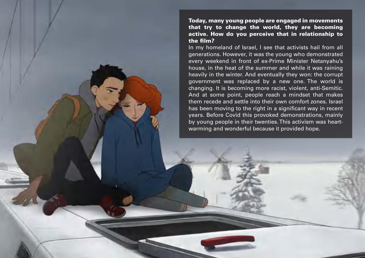### Today, many young people are engaged in movements that try to change the world, they are becoming active. How do you perceive that in relationship to the film?

In my homeland of Israel, I see that activists hail from all generations. However, it was the young who demonstrated every weekend in front of ex-Prime Minister Netanyahu's house, in the heat of the summer and while it was raining heavily in the winter. And eventually they won: the corrupt government was replaced by a new one. The world is changing. It is becoming more racist, violent, anti-Semitic. And at some point, people reach a mindset that makes them recede and settle into their own comfort zones. Israel has been moving to the right in a significant way in recent years. Before Covid this provoked demonstrations, mainly by young people in their twenties. This activism was heartwarming and wonderful because it provided hope.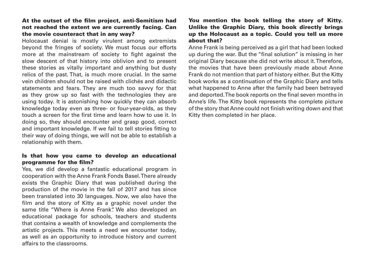# At the outset of the film project, anti-Semitism had not reached the extent we are currently facing. Can the movie counteract that in any way?

Holocaust denial is mostly virulent among extremists beyond the fringes of society. We must focus our efforts more at the mainstream of society to fight against the slow descent of that history into oblivion and to present these stories as vitally important and anything but dusty relics of the past. That, is much more crucial. In the same vein children should not be raised with clichés and didactic statements and fears. They are much too savvy for that as they grow up so fast with the technologies they are using today. It is astonishing how quickly they can absorb knowledge today even as three- or four-year-olds, as they touch a screen for the first time and learn how to use it. In doing so, they should encounter and grasp good, correct and important knowledge. If we fail to tell stories fitting to their way of doing things, we will not be able to establish a relationship with them.

#### Is that how you came to develop an educational programme for the film?

Yes, we did develop a fantastic educational program in cooperation with the Anne Frank Fonds Basel. There already exists the Graphic Diary that was published during the production of the movie in the fall of 2017 and has since been translated into 30 languages. Now, we also have the film and the story of Kitty as a graphic novel under the same title "Where is Anne Frank". We also developed an educational package for schools, teachers and students that contains a wealth of knowledge and complements the artistic projects. This meets a need we encounter today, as well as an opportunity to introduce history and current affairs to the classrooms.

# You mention the book telling the story of Kitty. Unlike the Graphic Diary, this book directly brings up the Holocaust as a topic. Could you tell us more about that?

Anne Frank is being perceived as a girl that had been locked up during the war. But the "final solution" is missing in her original Diary because she did not write about it. Therefore, the movies that have been previously made about Anne Frank do not mention that part of history either. But the Kitty book works as a continuation of the Graphic Diary and tells what happened to Anne after the family had been betrayed and deported. The book reports on the final seven months in Anne's life. The Kitty book represents the complete picture of the story that Anne could not finish writing down and that Kitty then completed in her place.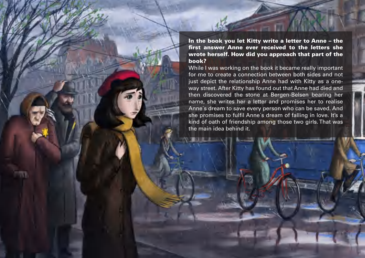In the book you let Kitty write a letter to Anne – the first answer Anne ever received to the letters she wrote herself. How did you approach that part of the book?

While I was working on the book it became really important for me to create a connection between both sides and not just depict the relationship Anne had with Kitty as a oneway street. After Kitty has found out that Anne had died and then discovered the stone at Bergen-Belsen bearing her name, she writes her a letter and promises her to realise Anne´s dream to save every person who can be saved. And she promises to fulfil Anne´s dream of falling in love. It's a kind of oath of friendship among those two girls. That was the main idea behind it.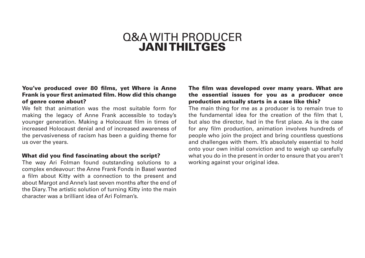# Q&A WITH PRODUCER JANI THILTGES

#### You've produced over 80 films, yet Where is Anne Frank is your first animated film. How did this change of genre come about?

We felt that animation was the most suitable form for making the legacy of Anne Frank accessible to today's younger generation. Making a Holocaust film in times of increased Holocaust denial and of increased awareness of the pervasiveness of racism has been a guiding theme for us over the years.

#### What did you find fascinating about the script?

The way Ari Folman found outstanding solutions to a complex endeavour: the Anne Frank Fonds in Basel wanted a film about Kitty with a connection to the present and about Margot and Anne's last seven months after the end of the Diary. The artistic solution of turning Kitty into the main character was a brilliant idea of Ari Folman's.

#### The film was developed over many years. What are the essential issues for you as a producer once production actually starts in a case like this?

The main thing for me as a producer is to remain true to the fundamental idea for the creation of the film that I, but also the director, had in the first place. As is the case for any film production, animation involves hundreds of people who join the project and bring countless questions and challenges with them. It's absolutely essential to hold onto your own initial conviction and to weigh up carefully what you do in the present in order to ensure that you aren't working against your original idea.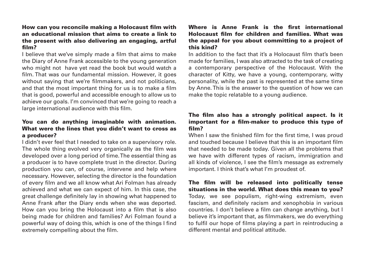# How can you reconcile making a Holocaust film with an educational mission that aims to create a link to the present with also delivering an engaging, artful film?

I believe that we've simply made a film that aims to make the Diary of Anne Frank accessible to the young generation who might not have yet read the book but would watch a film. That was our fundamental mission. However, it goes without saying that we're filmmakers, and not politicians, and that the most important thing for us is to make a film that is good, powerful and accessible enough to allow us to achieve our goals. I'm convinced that we're going to reach a large international audience with this film.

### You can do anything imaginable with animation. What were the lines that you didn't want to cross as a producer?

I didn't ever feel that I needed to take on a supervisory role. The whole thing evolved very organically as the film was developed over a long period of time. The essential thing as a producer is to have complete trust in the director. During production you can, of course, intervene and help where necessary. However, selecting the director is the foundation of every film and we all know what Ari Folman has already achieved and what we can expect of him. In this case, the great challenge definitely lay in showing what happened to Anne Frank after the Diary ends when she was deported. How can you bring the Holocaust into a film that is also being made for children and families? Ari Folman found a powerful way of doing this, which is one of the things I find extremely compelling about the film.

### Where is Anne Frank is the first international Holocaust film for children and families. What was the appeal for you about committing to a project of this kind?

In addition to the fact that it's a Holocaust film that's been made for families, I was also attracted to the task of creating a contemporary perspective of the Holocaust. With the character of Kitty, we have a young, contemporary, witty personality, while the past is represented at the same time by Anne. This is the answer to the question of how we can make the topic relatable to a young audience.

# The film also has a strongly political aspect. Is it important for a film-maker to produce this type of film?

When I saw the finished film for the first time, I was proud and touched because I believe that this is an important film that needed to be made today. Given all the problems that we have with different types of racism, immigration and all kinds of violence, I see the film's message as extremely important. I think that's what I'm proudest of.

The film will be released into politically tense situations in the world. What does this mean to you? Today, we see populism, right-wing extremism, even fascism, and definitely racism and xenophobia in various countries. I don't believe a film can change anything, but I believe it's important that, as filmmakers, we do everything to fulfil our hope of films playing a part in reintroducing a different mental and political attitude.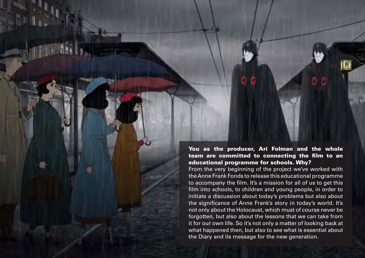#### You as the producer, Ari Folman and the whole team are committed to connecting the film to an educational programme for schools. Why?

From the very beginning of the project we've worked with the Anne Frank Fonds to release this educational programme to accompany the film. It's a mission for all of us to get this film into schools, to children and young people, in order to initiate a discussion about today's problems but also about the significance of Anne Frank's story in today's world. It's not only about the Holocaust, which must of course never be forgotten, but also about the lessons that we can take from it for our own life. So it's not only a matter of looking back at what happened then, but also to see what is essential about the Diary and its message for the new generation.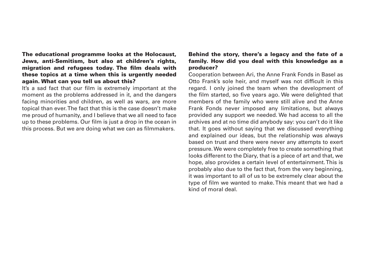The educational programme looks at the Holocaust, Jews, anti-Semitism, but also at children's rights, migration and refugees today. The film deals with these topics at a time when this is urgently needed again. What can you tell us about this?

It's a sad fact that our film is extremely important at the moment as the problems addressed in it, and the dangers facing minorities and children, as well as wars, are more topical than ever. The fact that this is the case doesn't make me proud of humanity, and I believe that we all need to face up to these problems. Our film is just a drop in the ocean in this process. But we are doing what we can as filmmakers.

# Behind the story, there's a legacy and the fate of a family. How did you deal with this knowledge as a producer?

Cooperation between Ari, the Anne Frank Fonds in Basel as Otto Frank's sole heir, and myself was not difficult in this regard. I only joined the team when the development of the film started, so five years ago. We were delighted that members of the family who were still alive and the Anne Frank Fonds never imposed any limitations, but always provided any support we needed. We had access to all the archives and at no time did anybody say: you can't do it like that. It goes without saying that we discussed everything and explained our ideas, but the relationship was always based on trust and there were never any attempts to exert pressure. We were completely free to create something that looks different to the Diary, that is a piece of art and that, we hope, also provides a certain level of entertainment. This is probably also due to the fact that, from the very beginning, it was important to all of us to be extremely clear about the type of film we wanted to make. This meant that we had a kind of moral deal.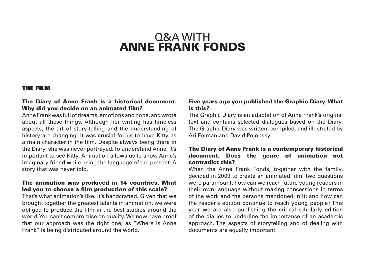# Q&A WITH ANNE FRANK FONDS

#### THE FILM

#### The Diary of Anne Frank is a historical document. Why did you decide on an animated film?

Anne Frank was full of dreams, emotions and hope, and wrote about all these things. Although her writing has timeless aspects, the art of story-telling and the understanding of history are changing. It was crucial for us to have Kitty as a main character in the film. Despite always being there in the Diary, she was never portrayed. To understand Anne, it's important to see Kitty. Animation allows us to show Anne's imaginary friend while using the language of the present. A story that was never told.

#### The animation was produced in 14 countries. What led you to choose a film production of this scale?

That's what animation's like. It's handcrafted. Given that we brought together the greatest talents in animation, we were obliged to produce the film in the best studios around the world. You can't compromise on quality. We now have proof that our approach was the right one, as "Where is Anne Frank" is being distributed around the world.

# Five years ago you published the Graphic Diary. What is this?

The Graphic Diary is an adaptation of Anne Frank's original text and contains selected dialogues based on the Diary. The Graphic Diary was written, compiled, and illustrated by Ari Folman and David Polonsky.

#### The Diary of Anne Frank is a contemporary historical document. Does the genre of animation not contradict this?

When the Anne Frank Fonds, together with the family, decided in 2009 to create an animated film, two questions were paramount: how can we reach future young readers in their own language without making concessions in terms of the work and the persons mentioned in it; and how can the reader's edition continue to reach young people? This year we are also publishing the critical scholarly edition of the diaries to underline the importance of an academic approach. The aspects of storytelling and of dealing with documents are equally important.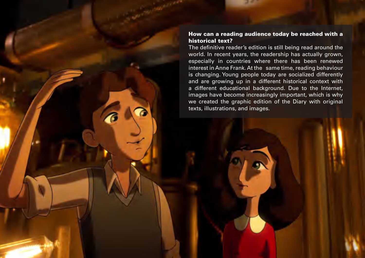#### How can a reading audience today be reached with a historical text?

The definitive reader's edition is still being read around the world. In recent years, the readership has actually grown, especially in countries where there has been renewed interest in Anne Frank. At the same time, reading behaviour is changing. Young people today are socialized differently and are growing up in a different historical context with a different educational background. Due to the Internet, images have become increasingly important, which is why we created the graphic edition of the Diary with original texts, illustrations, and images.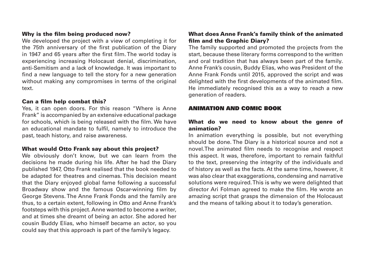#### Why is the film being produced now?

We developed the project with a view of completing it for the 75th anniversary of the first publication of the Diary in 1947 and 65 years after the first film. The world today is experiencing increasing Holocaust denial, discrimination, anti-Semitism and a lack of knowledge. It was important to find a new language to tell the story for a new generation without making any compromises in terms of the original text.

#### Can a film help combat this?

Yes, it can open doors. For this reason "Where is Anne Frank" is accompanied by an extensive educational package for schools, which is being released with the film. We have an educational mandate to fulfil, namely to introduce the past, teach history, and raise awareness.

#### What would Otto Frank say about this project?

We obviously don't know, but we can learn from the decisions he made during his life. After he had the Diary published 1947, Otto Frank realised that the book needed to be adapted for theatres and cinemas. This decision meant that the Diary enjoyed global fame following a successful Broadway show and the famous Oscar-winning film by George Stevens. The Anne Frank Fonds and the family are thus, to a certain extent, following in Otto and Anne Frank's footsteps with this project. Anne wanted to become a writer, and at times she dreamt of being an actor. She adored her cousin Buddy Elias, who himself became an actor, so you could say that this approach is part of the family's legacy.

# What does Anne Frank's family think of the animated film and the Graphic Diary?

The family supported and promoted the projects from the start, because these literary forms correspond to the written and oral tradition that has always been part of the family. Anne Frank's cousin, Buddy Elias, who was President of the Anne Frank Fonds until 2015, approved the script and was delighted with the first developments of the animated film. He immediately recognised this as a way to reach a new generation of readers.

#### ANIMATION AND COMIC BOOK

### What do we need to know about the genre of animation?

In animation everything is possible, but not everything should be done. The Diary is a historical source and not a novel.The animated film needs to recognise and respect this aspect. It was, therefore, important to remain faithful to the text, preserving the integrity of the individuals and of history as well as the facts. At the same time, however, it was also clear that exaggerations, condensing and narrative solutions were required. This is why we were delighted that director Ari Folman agreed to make the film. He wrote an amazing script that grasps the dimension of the Holocaust and the means of talking about it to today's generation.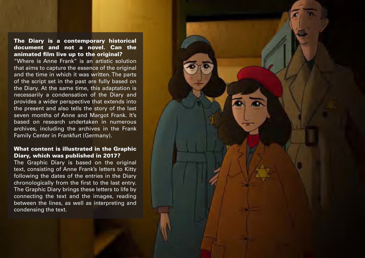# The Diary is a contemporary historical document and not a novel. Can the animated film live up to the original?

"Where is Anne Frank" is an artistic solution that aims to capture the essence of the original and the time in which it was written. The parts of the script set in the past are fully based on the Diary. At the same time, this adaptation is necessarily a condensation of the Diary and provides a wider perspective that extends into the present and also tells the story of the last seven months of Anne and Margot Frank. It's based on research undertaken in numerous archives, including the archives in the Frank Family Center in Frankfurt (Germany).

#### What content is illustrated in the Graphic Diary, which was published in 2017?

The Graphic Diary is based on the original text, consisting of Anne Frank's letters to Kitty following the dates of the entries in the Diary chronologically from the first to the last entry. The Graphic Diary brings these letters to life by connecting the text and the images, reading between the lines, as well as interpreting and condensing the text.

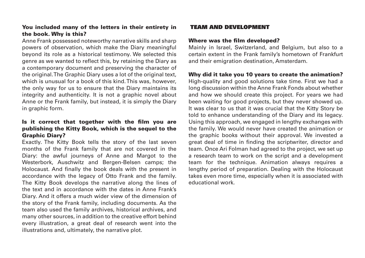# You included many of the letters in their entirety in the book. Why is this?

Anne Frank possessed noteworthy narrative skills and sharp powers of observation, which make the Diary meaningful beyond its role as a historical testimony. We selected this genre as we wanted to reflect this, by retaining the Diary as a contemporary document and preserving the character of the original. The Graphic Diary uses a lot of the original text, which is unusual for a book of this kind. This was, however, the only way for us to ensure that the Diary maintains its integrity and authenticity. It is not a graphic novel about Anne or the Frank family, but instead, it is simply the Diary in graphic form.

### Is it correct that together with the film you are publishing the Kitty Book, which is the sequel to the Graphic Diary?

Exactly. The Kitty Book tells the story of the last seven months of the Frank family that are not covered in the Diary: the awful journeys of Anne and Margot to the Westerbork, Auschwitz and Bergen-Belsen camps; the Holocaust. And finally the book deals with the present in accordance with the legacy of Otto Frank and the family. The Kitty Book develops the narrative along the lines of the text and in accordance with the dates in Anne Frank's Diary. And it offers a much wider view of the dimension of the story of the Frank family, including documents. As the team also used the family archives, historical archives, and many other sources, in addition to the creative effort behind every illustration, a great deal of research went into the illustrations and, ultimately, the narrative plot.

#### TEAM AND DEVELOPMENT

#### Where was the film developed?

Mainly in Israel, Switzerland, and Belgium, but also to a certain extent in the Frank family's hometown of Frankfurt and their emigration destination, Amsterdam.

#### Why did it take you 10 years to create the animation?

High-quality and good solutions take time. First we had a long discussion within the Anne Frank Fonds about whether and how we should create this project. For years we had been waiting for good projects, but they never showed up. It was clear to us that it was crucial that the Kitty Story be told to enhance understanding of the Diary and its legacy. Using this approach, we engaged in lengthy exchanges with the family. We would never have created the animation or the graphic books without their approval. We invested a great deal of time in finding the scriptwriter, director and team. Once Ari Folman had agreed to the project, we set up a research team to work on the script and a development team for the technique. Animation always requires a lengthy period of preparation. Dealing with the Holocaust takes even more time, especially when it is associated with educational work.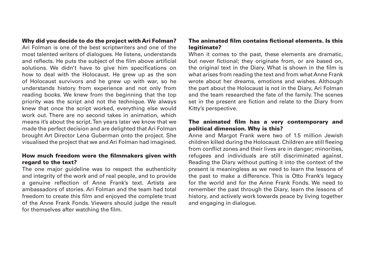# Why did you decide to do the project with Ari Folman?

Ari Folman is one of the best scriptwriters and one of the most talented writers of dialogues. He listens, understands and reflects. He puts the subject of the film above artificial solutions. We didn't have to give him specifications on how to deal with the Holocaust. He grew up as the son of Holocaust survivors and he grew up with war, so he understands history from experience and not only from reading books. We knew from the beginning that the top priority was the script and not the technique. We always knew that once the script worked, everything else would work out. There are no second takes in animation, which means it's about the script. Ten years later we know that we made the perfect decision and are delighted that Ari Folman brought Art Director Lena Guberman onto the project. She visualised the project that we and Ari Folman had imagined.

# How much freedom were the filmmakers given with regard to the text?

The one major quideline was to respect the authenticity and integrity of the work and of real people, and to provide a genuine reflection of Anne Frank's text. Artists are ambassadors of stories. Ari Folman and the team had total freedom to create this film and enjoyed the complete trust of the Anne Frank Fonds. Viewers should judge the result for themselves after watching the film.

#### The animated film contains fictional elements. Is this legitimate?

When it comes to the past, these elements are dramatic, but never fictional; they originate from, or are based on, the original text in the Diary. What is shown in the film is what arises from reading the text and from what Anne Frank wrote about her dreams, emotions and wishes. Although the part about the Holocaust is not in the Diary, Ari Folman and the team researched the fate of the family. The scenes set in the present are fiction and relate to the Diary from Kitty's perspective.

### The animated film has a very contemporary and political dimension. Why is this?

Anne and Margot Frank were two of 1.5 million Jewish children killed during the Holocaust. Children are still fleeing from conflict zones and their lives are in danger; minorities, refugees and individuals are still discriminated against. Reading the Diary without putting it into the context of the present is meaningless as we need to learn the lessons of the past to make a difference. This is Otto Frank's legacy for the world and for the Anne Frank Fonds. We need to remember the past through the Diary, learn the lessons of history, and actively work towards peace by living together and engaging in dialogue.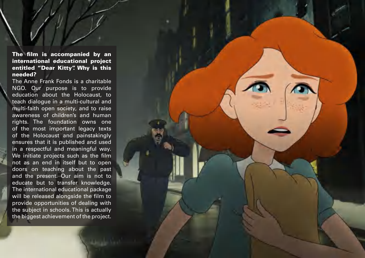The film is accompanied by an international educational project entitled "Dear Kitty". Why is this needed?

The Anne Frank Fonds is a charitable NGO. Our purpose is to provide education about the Holocaust, to teach dialogue in a multi-cultural and multi-faith open society, and to raise awareness of children's and human rights. The foundation owns one of the most important legacy texts of the Holocaust and painstakingly ensures that it is published and used in a respectful and meaningful way. We initiate projects such as the film not as an end in itself but to open doors on teaching about the past and the present. Our aim is not to educate but to transfer knowledge. The international educational package will be released alongside the film to provide opportunities of dealing with the subject in schools. This is actually the biggest achievement of the project.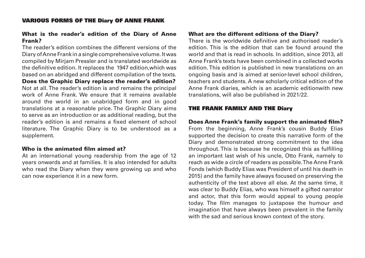# What is the reader's edition of the Diary of Anne Frank?

The reader's edition combines the different versions of the Diary of Anne Frank in a single comprehensive volume. It was compiled by Mirjam Pressler and is translated worldwide as the definitive edition. It replaces the 1947 edition,which was based on an abridged and different compilation of the texts. Does the Graphic Diary replace the reader's edition? Not at all. The reader's edition is and remains the principal work of Anne Frank. We ensure that it remains available around the world in an unabridged form and in good translations at a reasonable price. The Graphic Diary aims to serve as an introduction or as additional reading, but the reader's edition is and remains a fixed element of school literature. The Graphic Diary is to be understood as a supplement.

# Who is the animated film aimed at?

At an international young readership from the age of 12 years onwards and at families. It is also intended for adults who read the Diary when they were growing up and who can now experience it in a new form.

# What are the different editions of the Diary?

There is the worldwide definitive and authorised reader's edition. This is the edition that can be found around the world and that is read in schools. In addition, since 2013, all Anne Frank's texts have been combined in a collected works edition. This edition is published in new translations on an ongoing basis and is aimed at senior-level school children, teachers and students. A new scholarly critical edition of the Anne Frank diaries, which is an academic editionwith new translations, will also be published in 2021/22.

# THE FRANK FAMILY AND THE Diary

#### Does Anne Frank's family support the animated film? From the beginning, Anne Frank's cousin Buddy Elias

supported the decision to create this narrative form of the Diary and demonstrated strong commitment to the idea throughout. This is because he recognized this as fulfilling an important last wish of his uncle, Otto Frank, namely to reach as wide a circle of readers as possible. The Anne Frank Fonds (which Buddy Elias was President of until his death in 2015) and the family have always focused on preserving the authenticity of the text above all else. At the same time, it was clear to Buddy Elias, who was himself a gifted narrator and actor, that this form would appeal to young people today. The film manages to juxtapose the humour and imagination that have always been prevalent in the family with the sad and serious known context of the story.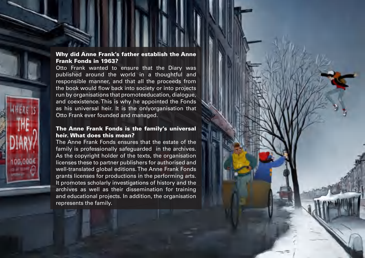#### Why did Anne Frank's father establish the Anne Frank Fonds in 1963?

Otto Frank wanted to ensure that the Diary was published around the world in a thoughtful and responsible manner, and that all the proceeds from the book would flow back into society or into projects run by organisations that promoteeducation, dialogue, and coexistence. This is why he appointed the Fonds as his universal heir. It is the onlyorganisation that Otto Frank ever founded and managed.

#### The Anne Frank Fonds is the family's universal heir. What does this mean?

The Anne Frank Fonds ensures that the estate of the family is professionally safeguarded in the archives. As the copyright holder of the texts, the organisation licenses these to partner publishers for authorised and well-translated global editions. The Anne Frank Fonds grants licenses for productions in the performing arts. It promotes scholarly investigations of history and the archives as well as their dissemination for training and educational projects. In addition, the organisation represents the family.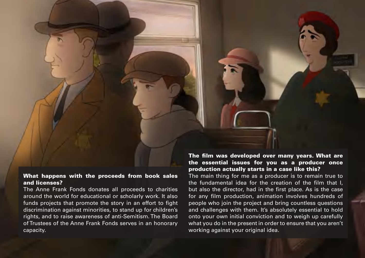

#### What happens with the proceeds from book sales and licenses?

The Anne Frank Fonds donates all proceeds to charities around the world for educational or scholarly work. It also funds projects that promote the story in an effort to fight discrimination against minorities, to stand up for children's rights, and to raise awareness of anti-Semitism. The Board of Trustees of the Anne Frank Fonds serves in an honorary capacity.

# the essential issues for you as a producer once production actually starts in a case like this?

The main thing for me as a producer is to remain true to the fundamental idea for the creation of the film that I, but also the director, had in the first place. As is the case for any film production, animation involves hundreds of people who join the project and bring countless questions and challenges with them. It's absolutely essential to hold onto your own initial conviction and to weigh up carefully what you do in the present in order to ensure that you aren't working against your original idea.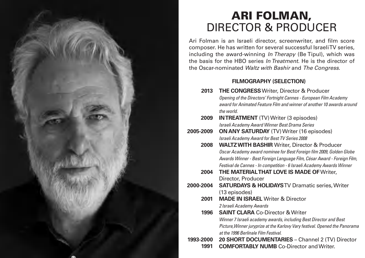

# ARI FOLMAN, DIRECTOR & PRODUCER

Ari Folman is an Israeli director, screenwriter, and film score composer. He has written for several successful Israeli TV series, including the award-winning *In Therapy* (Be Tipul), which was the basis for the HBO series *In Treatment.* He is the director of the Oscar-nominated *Waltz with Bashir* and *The Congress*.

# **FILMOGRAPHY (SELECTION)**

- **THE CONGRESS**Writer, Director & Producer *Opening of the Directors' Fortnight Cannes - European Film Academy award for Animated Feature Film and winner of another 10 awards around the world.* **2013**
- **IN TREATMENT** (TV) Writer (3 episodes) *Israeli Academy Award Winner Best Drama Series* **2009**
- **ON ANY SATURDAY** (TV) Writer (16 episodes) *Israeli Academy Award for Best TV Series 2008* **2005-2009**
	- **WALTZ WITH BASHIR** Writer, Director & Producer *Oscar Academy award nominee for Best Foreign film 2009, Golden Globe Awards Winner - Best Foreign Language Film, César Award - Foreign Film, Festival de Cannes - In competition - 6 Israeli Academy Awards Winner* **2008**
	- 2004 THE MATERIAL THAT LOVE IS MADE OF Writer, Director, Producer
- **SATURDAYS & HOLIDAYS** TV Dramatic series, Writer (13 episodes) **2000-2004**
	- **MADE IN ISRAEL** Writer & Director *2 Israeli Academy Awards* **2001**
	- **SAINT CLARA** Co-Director & Writer *Winner 7 Israeli academy awards, including Best Director and Best Picture,Winner juryprize at the Karlovy Vary festival. Opened the Panorama at the 1996 Berlinale Film Festival.* **1996**
- **20 SHORT DOCUMENTARIES** Channel 2 (TV) Director **COMFORTABLY NUMB** Co-Director and Writer. **1993-2000 1991**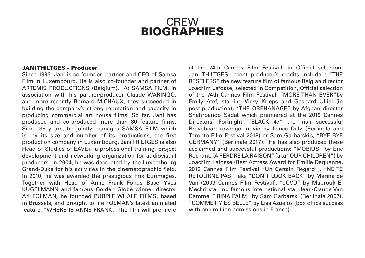# CREW BIOGRAPHIES

#### JANI THILTGES - Producer

Since 1986, Jani is co-founder, partner and CEO of Samsa Film in Luxembourg. He is also co-founder and partner of ARTEMIS PRODUCTIONS (Belgium). At SAMSA FILM, in association with his partner/producer Claude WARINGO, and more recently Bernard MICHAUX, they succeeded in building the company's strong reputation and capacity in producing commercial art house films. So far, Jani has produced and co-produced more than 80 feature films. Since 35 years, he jointly manages SAMSA FILM which is, by its size and number of its productions, the first production company in Luxembourg. Jani THILTGES is also Head of Studies of EAVE+, a professional training, project development and networking organization for audiovisual producers. In 2004, he was decorated by the Luxembourg Grand-Duke for his activities in the cinematographic field. In 2010, he was awarded the prestigious Prix Eurimages. Together with Head of Anne Frank Fonds Basel Yves KUGELMANN and famous Golden Globe winner director Ari FOLMAN, he founded PURPLE WHALE FILMS, based in Brussels, and brought to life FOLMAN's latest animated feature, "WHERE IS ANNE FRANK". The film will premiere

at the 74th Cannes Film Festival, in Official selection. Jani THILTGES recent producer's credits include : "THE RESTLESS" the new feature film of famous Belgian director Joachim Lafosse, selected in Competition, Official selection of the 74th Cannes Film Festival, "MORE THAN EVER"by Emily Atef, starring Vicky Krieps and Gaspard Ulliel (in post-production), "THE ORPHANAGE" by Afghan director Shahrbanoo Sadat which premiered at the 2019 Cannes Directors' Fortnight, "BLACK 47" the Irish successful Braveheart revenge movie by Lance Daly (Berlinale and Toronto Film Festival 2018) or Sam Garbarski's, "BYE BYE GERMANY" (Berlinale 2017). He has also produced these acclaimed and successful productions: "MÖBIUS" by Eric Rochant, "À PERDRE LA RAISON" (aka "OUR CHILDREN") by Joachim Lafosse (Best Actress Award for Emilie Dequenne, 2012 Cannes Film Festival "Un Certain Regard"), "NE TE RETOURNE PAS" (aka "DON'T LOOK BACK" by Marina de Van (2009 Cannes Film Festival), "JCVD" by Mabrouk El Mechri starring famous international star Jean-Claude Van Damme, "IRINA PALM" by Sam Garbarski (Berlinale 2007), "COMME T'Y ES BELLE" by Lisa Azuelos (box office success with one million admissions in France).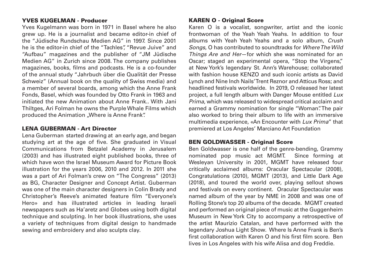# YVES KUGELMAN - Producer

Yves Kugelmann was born in 1971 in Basel where he also grew up. He is a journalist and became editor-in chief of the "Jüdische Rundschau Medien AG" in 1997. Since 2001 he is the editor-in chief of the "Tachles", "Revue Juive" and "Aufbau" magazines and the publisher of "JM Jüdische Medien AG" in Zurich since 2008. The company publishes magazines, books, films and podcasts. He is a co-founder of the annual study "Jahrbuch über die Qualität der Presse Schweiz" (Annual book on the quality of Swiss media) and a member of several boards, among which the Anne Frank Fonds, Basel, which was founded by Otto Frank in 1963 and initiated the new Animation about Anne Frank.. With Jani Thiltges, Ari Folman he owns the Purple Whale Films which produced the Animation "Where is Anne Frank".

# LENA GUBERMAN - Art Director

Lena Guberman started drawing at an early age, and began studying art at the age of five. She graduated in Visual Communications from Betzalel Academy in Jerusalem (2003) and has illustrated eight published books, three of which have won the Israel Museum Award for Picture Book illustration for the years 2006, 2010 and 2012. In 2011 she was a part of Ari Folman's crew on "The Congress" (2013) as BG, Character Designer and Concept Artist. Guberman was one of the main character designers in Colin Brady and Christopher's Reeve's animated feature film "Everyone's Hero» and has illustrated articles in leading Israeli newspapers such as Ha'aretz and Globes using both digital technique and sculpting. In her book illustrations, she uses a variety of techniques from digital design to handmade sewing and embroidery and also sculpts clay.

# KAREN O - Original Score

Karen O is a vocalist, songwriter, artist and the iconic frontwoman of the Yeah Yeah Yeahs. In addition to four albums with Yeah Yeah Yeahs and a solo album, *Crush Songs*, O has contributed to soundtracks for *Where The Wild Things Are and Her*—for which she was nominated for an Oscar; staged an experimental opera, "Stop the Virgens." at New York's legendary St. Ann's Warehouse; collaborated with fashion house KENZO and such iconic artists as David Lynch and Nine Inch Nails' Trent Reznor and Atticus Ross; and headlined festivals worldwide. In 2019, O released her latest project, a full length album with Danger Mouse entitled *Lux Prima*, which was released to widespread critical acclaim and earned a Grammy nomination for single "Woman". The pair also worked to bring their album to life with an immersive multimedia experience, «An Encounter with *Lux Prima*" that premiered at Los Angeles' Marciano Art Foundation

# BEN GOLDWASSER - Original Score

Ben Goldwasser is one half of the genre-bending, Grammy nominated pop music act MGMT. Since forming at Wesleyan University in 2001, MGMT have released four critically acclaimed albums: Oracular Spectacular (2008), Congratulations (2010), MGMT (2013), and Little Dark Age (2018), and toured the world over, playing sellout shows and festivals on every continent. Oracular Spectacular was named album of the year by NME in 2008 and was one of Rolling Stone's top 20 albums of the decade. MGMT created and performed an original piece of music at the Guggenheim Museum in New York City to accompany a retrospective of the artist Maurizio Catalan, and have performed with the legendary Joshua Light Show. Where Is Anne Frank is Ben's first collaboration with Karen O and his first film score. Ben lives in Los Angeles with his wife Alisa and dog Freddie.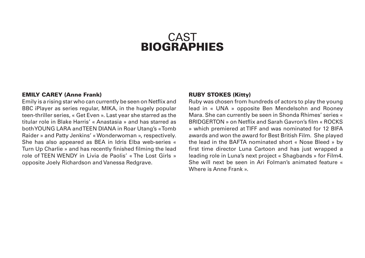# CAST BIOGRAPHIES

#### EMILY CAREY (Anne Frank)

Emily is a rising star who can currently be seen on Netflix and BBC iPlayer as series regular, MIKA, in the hugely popular teen-thriller series, « Get Even ». Last year she starred as the titular role in Blake Harris' « Anastasia » and has starred as both YOUNG LARA and TEEN DIANA in Roar Utang's « Tomb Raider » and Patty Jenkins' « Wonderwoman », respectively. She has also appeared as BEA in Idris Elba web-series « Turn Up Charlie » and has recently finished filming the lead role of TEEN WENDY in Livia de Paolis' « The Lost Girls » opposite Joely Richardson and Vanessa Redgrave.

#### RUBY STOKES (Kitty)

Ruby was chosen from hundreds of actors to play the young lead in « UNA » opposite Ben Mendelsohn and Rooney Mara. She can currently be seen in Shonda Rhimes' series « BRIDGERTON » on Netflix and Sarah Gavron's film « ROCKS » which premiered at TIFF and was nominated for 12 BIFA awards and won the award for Best British Film. She played the lead in the BAFTA nominated short « Nose Bleed » by first time director Luna Cartoon and has just wrapped a leading role in Luna's next project « Shagbands » for Film4. She will next be seen in Ari Folman's animated feature « Where is Anne Frank ».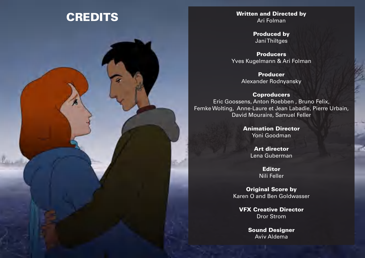



Produced by Jani Thiltges

Producers Yves Kugelmann & Ari Folman

> Producer Alexander Rodnyansky

**Coproducers** Eric Goossens, Anton Roebben , Bruno Felix, Femke Wolting, Anne-Laure et Jean Labadie, Pierre Urbain, David Mouraire, Samuel Feller

> Animation Director Yoni Goodman

> > Art director Lena Guberman

> > > Editor Nili Feller

**Original Score by** Karen O and Ben Goldwasser

VFX Creative Director Dror Strom

> Sound Designer Aviv Aldema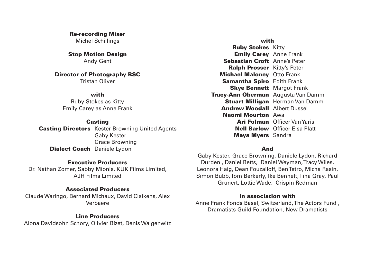Re-recording Mixer

Michel Schillings

# Stop Motion Design

Andy Gent

# Director of Photography BSC

Tristan Oliver

#### with

Ruby Stokes as Kitty Emily Carey as Anne Frank

#### Casting

**Casting Directors** Kester Browning United Agents Gaby Kester Grace Browning Dialect Coach Daniele Lydon

#### Executive Producers

Dr. Nathan Zomer, Sabby Mionis, KUK Films Limited, AJH Films Limited

#### Associated Producers

Claude Waringo, Bernard Michaux, David Claikens, Alex Verbaere

#### Line Producers

Alona Davidsohn Schory, Olivier Bizet, Denis Walgenwitz

# with **Ruby Stokes** Kitty Emily Carey Anne Frank Sebastian Croft Anne's Peter Ralph Prosser Kitty's Peter Michael Maloney Otto Frank Samantha Spiro Edith Frank **Skye Bennett** Margot Frank Tracy-Ann Oberman Augusta Van Damm Stuart Milligan Herman Van Damm **Andrew Woodall Albert Dussel** Naomi Mourton Awa Ari Folman Officer Van Yaris Nell Barlow Officer Elsa Platt Maya Myers Sandra

# And

Gaby Kester, Grace Browning, Daniele Lydon, Richard Durden , Daniel Betts, Daniel Weyman, Tracy Wiles, Leonora Haig, Dean Fouzailoff, Ben Tetro, Micha Rasin, Simon Bubb, Tom Berkerly, Ike Bennett, Tina Gray, Paul Grunert, Lottie Wade, Crispin Redman

# In association with

Anne Frank Fonds Basel, Switzerland, The Actors Fund , Dramatists Guild Foundation, New Dramatists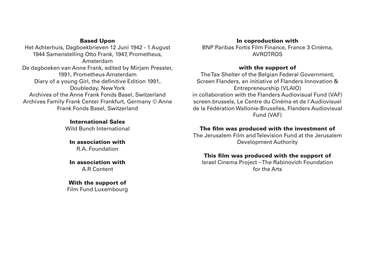#### Based Upon

Het Achterhuis, Dagboekbrieven 12 Juni 1942 - 1 August 1944 Samenstelling Otto Frank, 1947, Prometheus, Amsterdam De dagboeken van Anne Frank, edited by Mirjam Pressler, 1991, Prometheus Amsterdam Diary of a young Girl, the definitive Edition 1991, Doubleday, New York Archives of the Anne Frank Fonds Basel, Switzerland Archives Family Frank Center Frankfurt, Germany © Anne Frank Fonds Basel, Switzerland

> International Sales Wild Bunch International

#### In association with R.A. Foundation

In association with A.R Content

#### With the support of Film Fund Luxembourg

In coproduction with BNP Paribas Fortis Film Finance, France 3 Cinéma, AVROTROS

#### with the support of

The Tax Shelter of the Belgian Federal Government, Screen Flanders, an initiative of Flanders Innovation & Entrepreneurship (VLAIO) in collaboration with the Flanders Audiovisual Fund (VAF) screen.brussels, Le Centre du Cinéma et de l'Audiovisuel de la Fédération Wallonie-Bruxelles, Flanders Audiovisual Fund (VAF)

#### The film was produced with the investment of

The Jerusalem Film and Television Fund at the Jerusalem Development Authority

#### This film was produced with the support of

Israel Cinema Project – The Rabinovich Foundation for the Arts